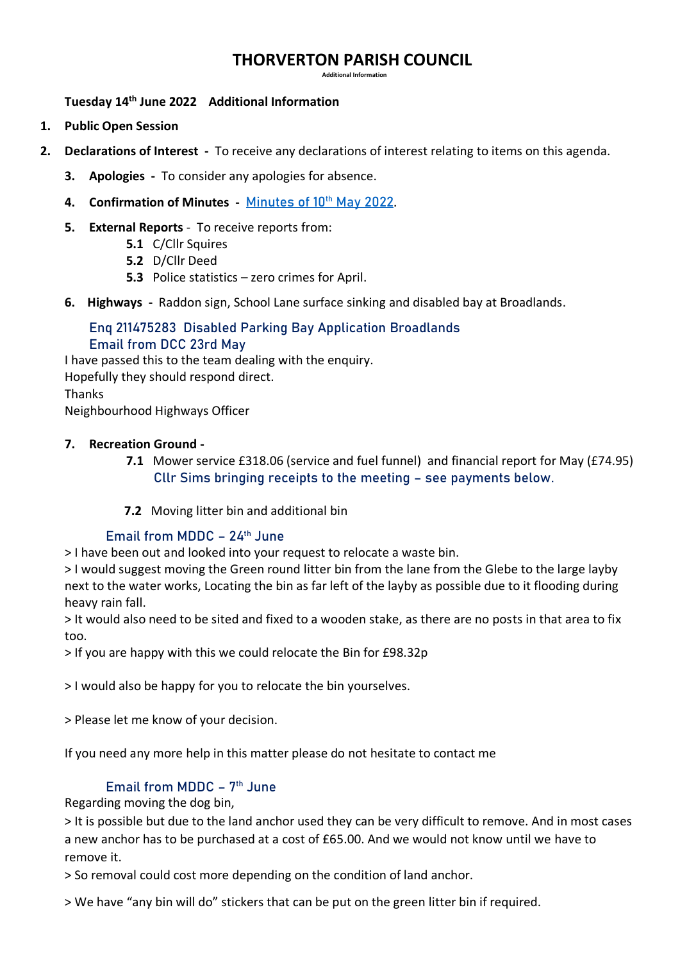# **THORVERTON PARISH COUNCIL**

 **Additional Information**

**Tuesday 14th June 2022 Additional Information**

- **1. Public Open Session**
- **2. Declarations of Interest** To receive any declarations of interest relating to items on this agenda.
	- **3. Apologies** To consider any apologies for absence.
	- 4. **Confirmation of Minutes [Minutes of 10](http://www.thorvertonparishcouncil.org.uk/_UserFiles/Files/_Minutes/145478-2022-05incAGMThorvertonMinsD.pdf)th May 2022.**
	- **5. External Reports** To receive reports from:
		- **5.1** C/Cllr Squires
		- **5.2** D/Cllr Deed
		- **5.3** Police statistics zero crimes for April.
	- **6. Highways** Raddon sign, School Lane surface sinking and disabled bay at Broadlands.

### Enq 211475283 Disabled Parking Bay Application Broadlands Email from DCC 23rd May

I have passed this to the team dealing with the enquiry. Hopefully they should respond direct.

Thanks

Neighbourhood Highways Officer

#### **7. Recreation Ground -**

- **7.1** Mower service £318.06 (service and fuel funnel) and financial report for May (£74.95) Cllr Sims bringing receipts to the meeting – see payments below.
- **7.2** Moving litter bin and additional bin

### Email from MDDC –  $24<sup>th</sup>$  June

> I have been out and looked into your request to relocate a waste bin.

> I would suggest moving the Green round litter bin from the lane from the Glebe to the large layby next to the water works, Locating the bin as far left of the layby as possible due to it flooding during heavy rain fall.

> It would also need to be sited and fixed to a wooden stake, as there are no posts in that area to fix too.

> If you are happy with this we could relocate the Bin for £98.32p

> I would also be happy for you to relocate the bin yourselves.

> Please let me know of your decision.

If you need any more help in this matter please do not hesitate to contact me

### Email from MDDC  $-7<sup>th</sup>$  June

Regarding moving the dog bin,

> It is possible but due to the land anchor used they can be very difficult to remove. And in most cases a new anchor has to be purchased at a cost of £65.00. And we would not know until we have to remove it.

> So removal could cost more depending on the condition of land anchor.

> We have "any bin will do" stickers that can be put on the green litter bin if required.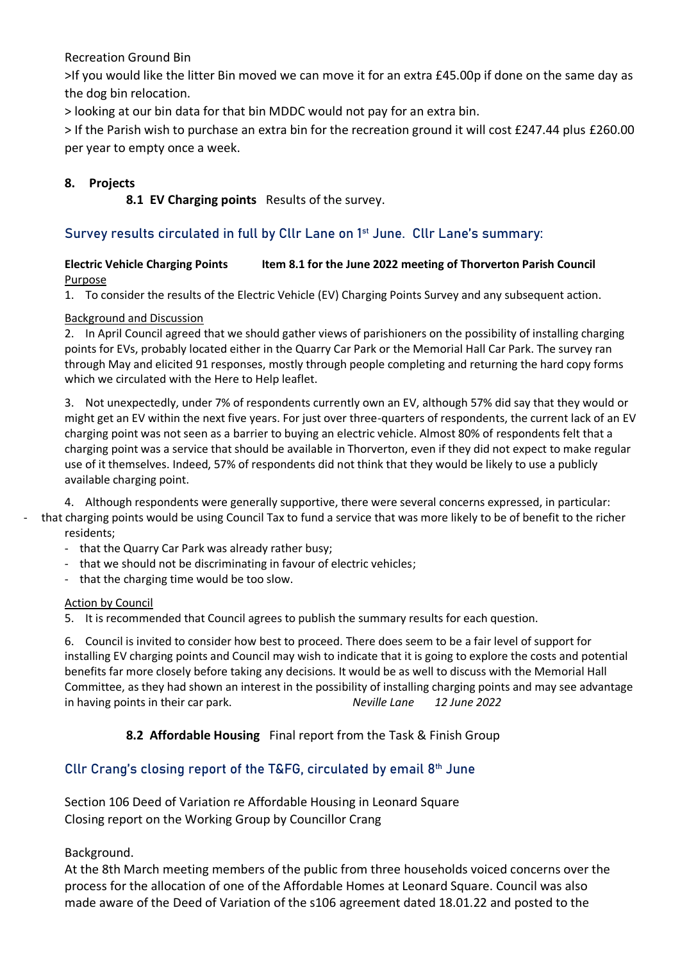Recreation Ground Bin

>If you would like the litter Bin moved we can move it for an extra £45.00p if done on the same day as the dog bin relocation.

> looking at our bin data for that bin MDDC would not pay for an extra bin.

> If the Parish wish to purchase an extra bin for the recreation ground it will cost £247.44 plus £260.00 per year to empty once a week.

### **8. Projects**

**8.1 EV Charging points** Results of the survey.

### Survey results circulated in full by Cllr Lane on 1st June. Cllr Lane's summary:

#### **Electric Vehicle Charging Points Item 8.1 for the June 2022 meeting of Thorverton Parish Council** Purpose

1. To consider the results of the Electric Vehicle (EV) Charging Points Survey and any subsequent action.

#### Background and Discussion

2. In April Council agreed that we should gather views of parishioners on the possibility of installing charging points for EVs, probably located either in the Quarry Car Park or the Memorial Hall Car Park. The survey ran through May and elicited 91 responses, mostly through people completing and returning the hard copy forms which we circulated with the Here to Help leaflet.

3. Not unexpectedly, under 7% of respondents currently own an EV, although 57% did say that they would or might get an EV within the next five years. For just over three-quarters of respondents, the current lack of an EV charging point was not seen as a barrier to buying an electric vehicle. Almost 80% of respondents felt that a charging point was a service that should be available in Thorverton, even if they did not expect to make regular use of it themselves. Indeed, 57% of respondents did not think that they would be likely to use a publicly available charging point.

4. Although respondents were generally supportive, there were several concerns expressed, in particular:

- that charging points would be using Council Tax to fund a service that was more likely to be of benefit to the richer residents;
	- that the Quarry Car Park was already rather busy;
	- that we should not be discriminating in favour of electric vehicles;
	- that the charging time would be too slow.

#### Action by Council

5. It is recommended that Council agrees to publish the summary results for each question.

6. Council is invited to consider how best to proceed. There does seem to be a fair level of support for installing EV charging points and Council may wish to indicate that it is going to explore the costs and potential benefits far more closely before taking any decisions. It would be as well to discuss with the Memorial Hall Committee, as they had shown an interest in the possibility of installing charging points and may see advantage in having points in their car park. *Neville Lane 12 June 2022*

### **8.2 Affordable Housing** Final report from the Task & Finish Group

### Cllr Crang's closing report of the T&FG, circulated by email 8<sup>th</sup> June

Section 106 Deed of Variation re Affordable Housing in Leonard Square Closing report on the Working Group by Councillor Crang

Background.

At the 8th March meeting members of the public from three households voiced concerns over the process for the allocation of one of the Affordable Homes at Leonard Square. Council was also made aware of the Deed of Variation of the s106 agreement dated 18.01.22 and posted to the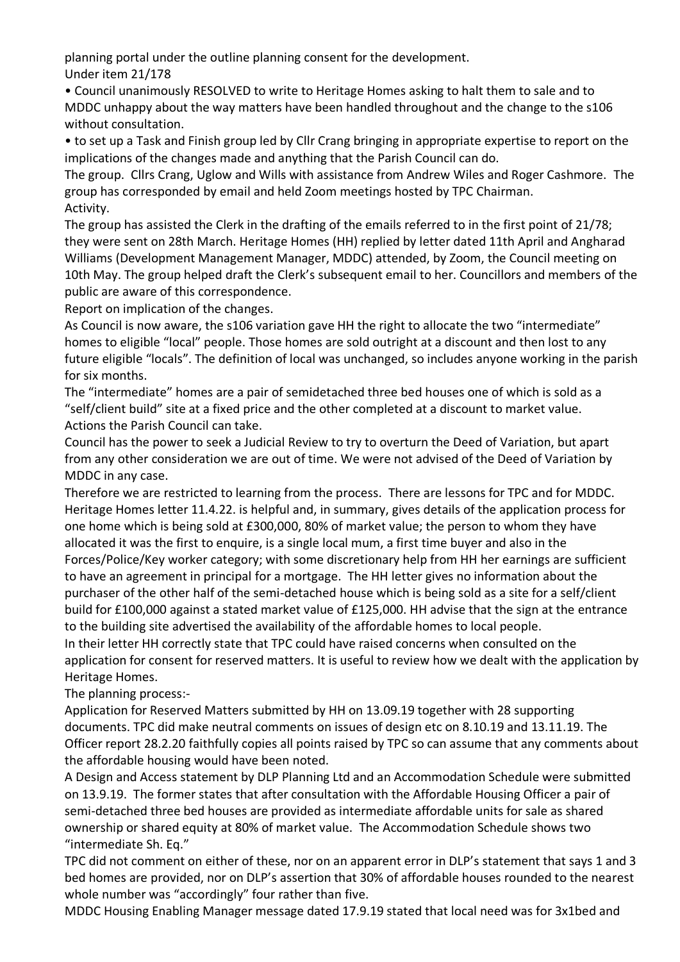planning portal under the outline planning consent for the development. Under item 21/178

• Council unanimously RESOLVED to write to Heritage Homes asking to halt them to sale and to MDDC unhappy about the way matters have been handled throughout and the change to the s106 without consultation.

• to set up a Task and Finish group led by Cllr Crang bringing in appropriate expertise to report on the implications of the changes made and anything that the Parish Council can do.

The group. Cllrs Crang, Uglow and Wills with assistance from Andrew Wiles and Roger Cashmore. The group has corresponded by email and held Zoom meetings hosted by TPC Chairman. Activity.

The group has assisted the Clerk in the drafting of the emails referred to in the first point of 21/78; they were sent on 28th March. Heritage Homes (HH) replied by letter dated 11th April and Angharad Williams (Development Management Manager, MDDC) attended, by Zoom, the Council meeting on 10th May. The group helped draft the Clerk's subsequent email to her. Councillors and members of the public are aware of this correspondence.

Report on implication of the changes.

As Council is now aware, the s106 variation gave HH the right to allocate the two "intermediate" homes to eligible "local" people. Those homes are sold outright at a discount and then lost to any future eligible "locals". The definition of local was unchanged, so includes anyone working in the parish for six months.

The "intermediate" homes are a pair of semidetached three bed houses one of which is sold as a "self/client build" site at a fixed price and the other completed at a discount to market value. Actions the Parish Council can take.

Council has the power to seek a Judicial Review to try to overturn the Deed of Variation, but apart from any other consideration we are out of time. We were not advised of the Deed of Variation by MDDC in any case.

Therefore we are restricted to learning from the process. There are lessons for TPC and for MDDC. Heritage Homes letter 11.4.22. is helpful and, in summary, gives details of the application process for one home which is being sold at £300,000, 80% of market value; the person to whom they have allocated it was the first to enquire, is a single local mum, a first time buyer and also in the Forces/Police/Key worker category; with some discretionary help from HH her earnings are sufficient to have an agreement in principal for a mortgage. The HH letter gives no information about the purchaser of the other half of the semi-detached house which is being sold as a site for a self/client build for £100,000 against a stated market value of £125,000. HH advise that the sign at the entrance to the building site advertised the availability of the affordable homes to local people. In their letter HH correctly state that TPC could have raised concerns when consulted on the application for consent for reserved matters. It is useful to review how we dealt with the application by

Heritage Homes. The planning process:-

Application for Reserved Matters submitted by HH on 13.09.19 together with 28 supporting documents. TPC did make neutral comments on issues of design etc on 8.10.19 and 13.11.19. The Officer report 28.2.20 faithfully copies all points raised by TPC so can assume that any comments about the affordable housing would have been noted.

A Design and Access statement by DLP Planning Ltd and an Accommodation Schedule were submitted on 13.9.19. The former states that after consultation with the Affordable Housing Officer a pair of semi-detached three bed houses are provided as intermediate affordable units for sale as shared ownership or shared equity at 80% of market value. The Accommodation Schedule shows two "intermediate Sh. Eq."

TPC did not comment on either of these, nor on an apparent error in DLP's statement that says 1 and 3 bed homes are provided, nor on DLP's assertion that 30% of affordable houses rounded to the nearest whole number was "accordingly" four rather than five.

MDDC Housing Enabling Manager message dated 17.9.19 stated that local need was for 3x1bed and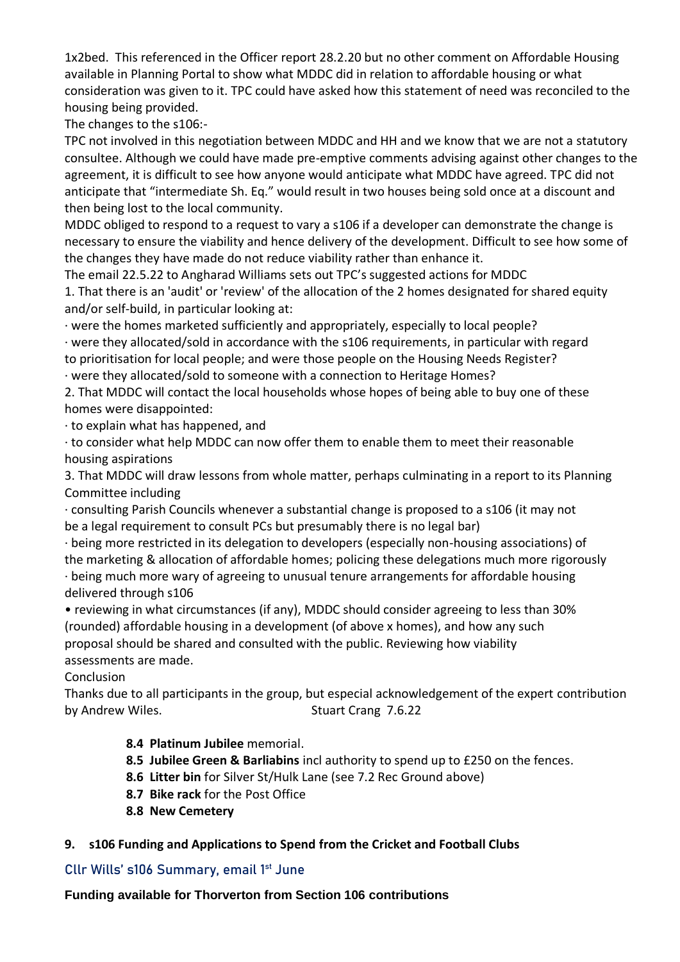1x2bed. This referenced in the Officer report 28.2.20 but no other comment on Affordable Housing available in Planning Portal to show what MDDC did in relation to affordable housing or what consideration was given to it. TPC could have asked how this statement of need was reconciled to the housing being provided.

The changes to the s106:-

TPC not involved in this negotiation between MDDC and HH and we know that we are not a statutory consultee. Although we could have made pre-emptive comments advising against other changes to the agreement, it is difficult to see how anyone would anticipate what MDDC have agreed. TPC did not anticipate that "intermediate Sh. Eq." would result in two houses being sold once at a discount and then being lost to the local community.

MDDC obliged to respond to a request to vary a s106 if a developer can demonstrate the change is necessary to ensure the viability and hence delivery of the development. Difficult to see how some of the changes they have made do not reduce viability rather than enhance it.

The email 22.5.22 to Angharad Williams sets out TPC's suggested actions for MDDC 1. That there is an 'audit' or 'review' of the allocation of the 2 homes designated for shared equity and/or self-build, in particular looking at:

· were the homes marketed sufficiently and appropriately, especially to local people? · were they allocated/sold in accordance with the s106 requirements, in particular with regard to prioritisation for local people; and were those people on the Housing Needs Register?

· were they allocated/sold to someone with a connection to Heritage Homes?

2. That MDDC will contact the local households whose hopes of being able to buy one of these homes were disappointed:

· to explain what has happened, and

· to consider what help MDDC can now offer them to enable them to meet their reasonable housing aspirations

3. That MDDC will draw lessons from whole matter, perhaps culminating in a report to its Planning Committee including

· consulting Parish Councils whenever a substantial change is proposed to a s106 (it may not be a legal requirement to consult PCs but presumably there is no legal bar)

· being more restricted in its delegation to developers (especially non-housing associations) of the marketing & allocation of affordable homes; policing these delegations much more rigorously · being much more wary of agreeing to unusual tenure arrangements for affordable housing delivered through s106

• reviewing in what circumstances (if any), MDDC should consider agreeing to less than 30% (rounded) affordable housing in a development (of above x homes), and how any such proposal should be shared and consulted with the public. Reviewing how viability assessments are made.

Conclusion

Thanks due to all participants in the group, but especial acknowledgement of the expert contribution by Andrew Wiles. Stuart Crang 7.6.22

**8.4 Platinum Jubilee** memorial.

- **8.5 Jubilee Green & Barliabins** incl authority to spend up to £250 on the fences.
- **8.6 Litter bin** for Silver St/Hulk Lane (see 7.2 Rec Ground above)
- **8.7 Bike rack** for the Post Office
- **8.8 New Cemetery**

## **9. s106 Funding and Applications to Spend from the Cricket and Football Clubs**

## Cllr Wills' s106 Summary, email 1<sup>st</sup> June

**Funding available for Thorverton from Section 106 contributions**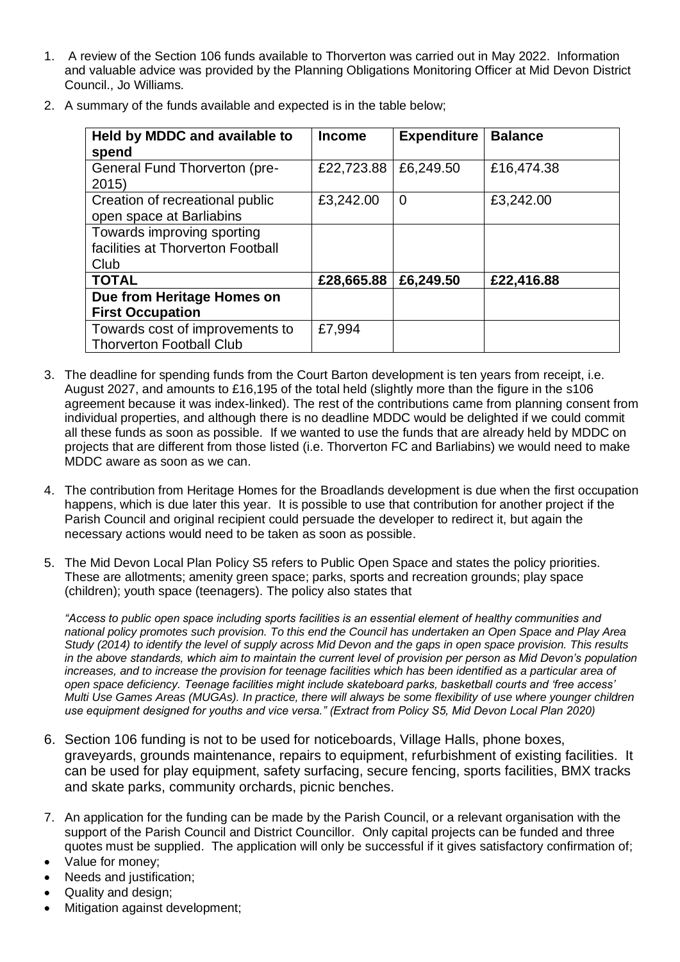1. A review of the Section 106 funds available to Thorverton was carried out in May 2022. Information and valuable advice was provided by the Planning Obligations Monitoring Officer at Mid Devon District Council., Jo Williams.

| Held by MDDC and available to<br>spend                                  | <b>Income</b> | <b>Expenditure</b> | <b>Balance</b> |
|-------------------------------------------------------------------------|---------------|--------------------|----------------|
| General Fund Thorverton (pre-<br>2015                                   | £22,723.88    | £6,249.50          | £16,474.38     |
| Creation of recreational public<br>open space at Barliabins             | £3,242.00     | 0                  | £3,242.00      |
| Towards improving sporting<br>facilities at Thorverton Football<br>Club |               |                    |                |
| <b>TOTAL</b>                                                            | £28,665.88    | £6,249.50          | £22,416.88     |
| Due from Heritage Homes on<br><b>First Occupation</b>                   |               |                    |                |
| Towards cost of improvements to<br><b>Thorverton Football Club</b>      | £7,994        |                    |                |

2. A summary of the funds available and expected is in the table below;

- 3. The deadline for spending funds from the Court Barton development is ten years from receipt, i.e. August 2027, and amounts to £16,195 of the total held (slightly more than the figure in the s106 agreement because it was index-linked). The rest of the contributions came from planning consent from individual properties, and although there is no deadline MDDC would be delighted if we could commit all these funds as soon as possible. If we wanted to use the funds that are already held by MDDC on projects that are different from those listed (i.e. Thorverton FC and Barliabins) we would need to make MDDC aware as soon as we can.
- 4. The contribution from Heritage Homes for the Broadlands development is due when the first occupation happens, which is due later this year. It is possible to use that contribution for another project if the Parish Council and original recipient could persuade the developer to redirect it, but again the necessary actions would need to be taken as soon as possible.
- 5. The Mid Devon Local Plan Policy S5 refers to Public Open Space and states the policy priorities. These are allotments; amenity green space; parks, sports and recreation grounds; play space (children); youth space (teenagers). The policy also states that

*"Access to public open space including sports facilities is an essential element of healthy communities and national policy promotes such provision. To this end the Council has undertaken an Open Space and Play Area Study (2014) to identify the level of supply across Mid Devon and the gaps in open space provision. This results in the above standards, which aim to maintain the current level of provision per person as Mid Devon's population increases, and to increase the provision for teenage facilities which has been identified as a particular area of open space deficiency. Teenage facilities might include skateboard parks, basketball courts and 'free access' Multi Use Games Areas (MUGAs). In practice, there will always be some flexibility of use where younger children use equipment designed for youths and vice versa." (Extract from Policy S5, Mid Devon Local Plan 2020)* 

- 6. Section 106 funding is not to be used for noticeboards, Village Halls, phone boxes, graveyards, grounds maintenance, repairs to equipment, refurbishment of existing facilities. It can be used for play equipment, safety surfacing, secure fencing, sports facilities, BMX tracks and skate parks, community orchards, picnic benches.
- 7. An application for the funding can be made by the Parish Council, or a relevant organisation with the support of the Parish Council and District Councillor. Only capital projects can be funded and three quotes must be supplied. The application will only be successful if it gives satisfactory confirmation of;
- Value for money;
- Needs and justification;
- Quality and design;
- Mitigation against development;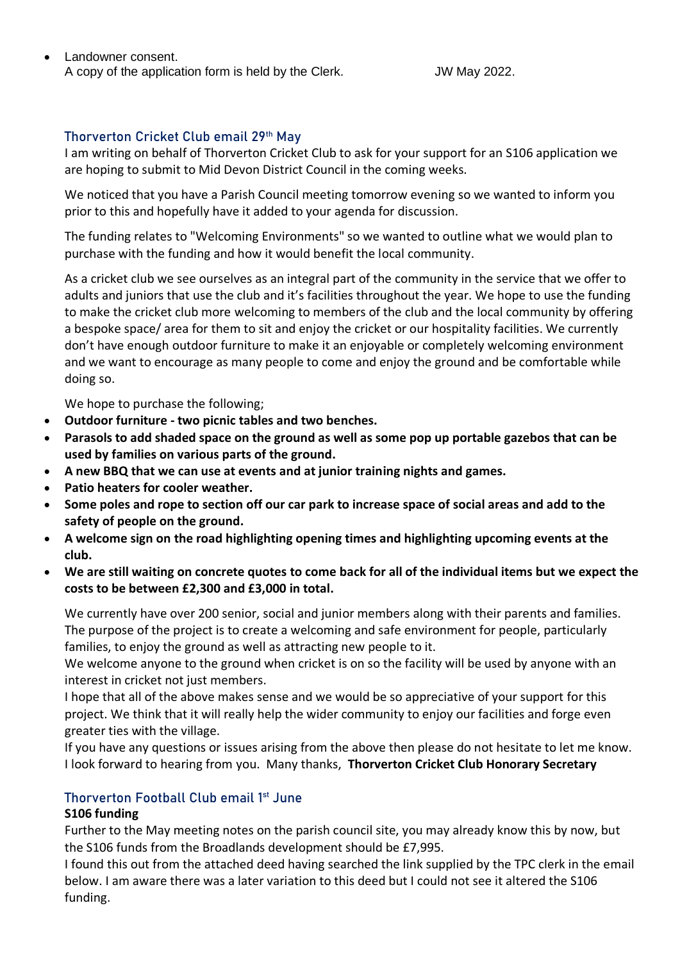• Landowner consent. A copy of the application form is held by the Clerk. JW May 2022.

### Thorverton Cricket Club email 29<sup>th</sup> May

I am writing on behalf of Thorverton Cricket Club to ask for your support for an S106 application we are hoping to submit to Mid Devon District Council in the coming weeks.

We noticed that you have a Parish Council meeting tomorrow evening so we wanted to inform you prior to this and hopefully have it added to your agenda for discussion.

The funding relates to "Welcoming Environments" so we wanted to outline what we would plan to purchase with the funding and how it would benefit the local community.

As a cricket club we see ourselves as an integral part of the community in the service that we offer to adults and juniors that use the club and it's facilities throughout the year. We hope to use the funding to make the cricket club more welcoming to members of the club and the local community by offering a bespoke space/ area for them to sit and enjoy the cricket or our hospitality facilities. We currently don't have enough outdoor furniture to make it an enjoyable or completely welcoming environment and we want to encourage as many people to come and enjoy the ground and be comfortable while doing so.

We hope to purchase the following;

- **Outdoor furniture - two picnic tables and two benches.**
- **Parasols to add shaded space on the ground as well as some pop up portable gazebos that can be used by families on various parts of the ground.**
- **A new BBQ that we can use at events and at junior training nights and games.**
- **Patio heaters for cooler weather.**
- **Some poles and rope to section off our car park to increase space of social areas and add to the safety of people on the ground.**
- **A welcome sign on the road highlighting opening times and highlighting upcoming events at the club.**
- **We are still waiting on concrete quotes to come back for all of the individual items but we expect the costs to be between £2,300 and £3,000 in total.**

We currently have over 200 senior, social and junior members along with their parents and families. The purpose of the project is to create a welcoming and safe environment for people, particularly families, to enjoy the ground as well as attracting new people to it.

We welcome anyone to the ground when cricket is on so the facility will be used by anyone with an interest in cricket not just members.

I hope that all of the above makes sense and we would be so appreciative of your support for this project. We think that it will really help the wider community to enjoy our facilities and forge even greater ties with the village.

If you have any questions or issues arising from the above then please do not hesitate to let me know. I look forward to hearing from you. Many thanks, **Thorverton Cricket Club Honorary Secretary**

### Thorverton Football Club email 1<sup>st</sup> June

### **S106 funding**

Further to the May meeting notes on the parish council site, you may already know this by now, but the S106 funds from the Broadlands development should be £7,995.

I found this out from the attached deed having searched the link supplied by the TPC clerk in the email below. I am aware there was a later variation to this deed but I could not see it altered the S106 funding.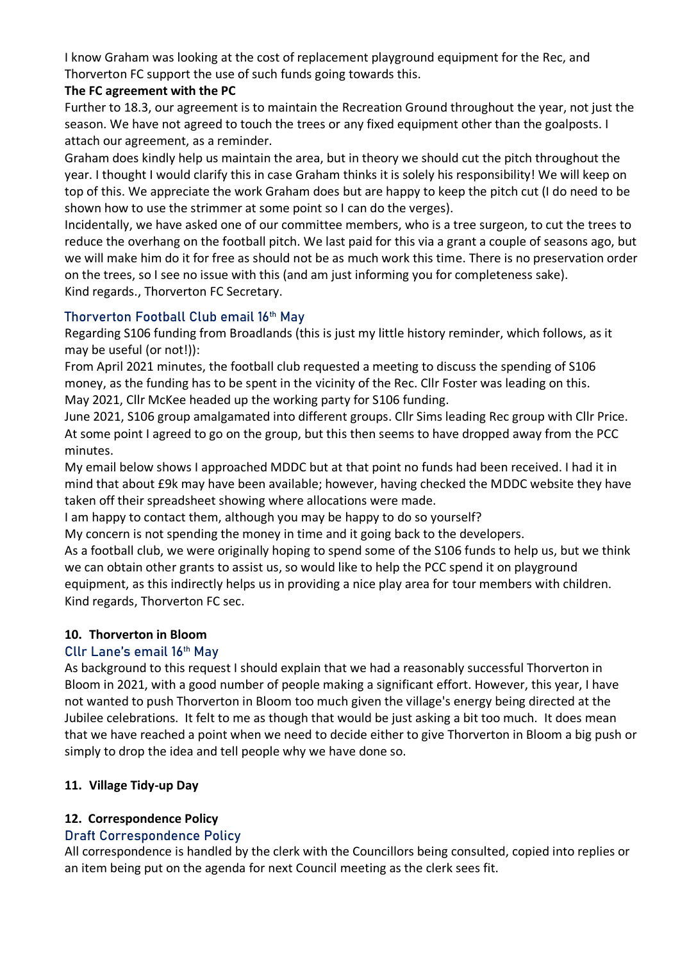I know Graham was looking at the cost of replacement playground equipment for the Rec, and Thorverton FC support the use of such funds going towards this.

### **The FC agreement with the PC**

Further to 18.3, our agreement is to maintain the Recreation Ground throughout the year, not just the season. We have not agreed to touch the trees or any fixed equipment other than the goalposts. I attach our agreement, as a reminder.

Graham does kindly help us maintain the area, but in theory we should cut the pitch throughout the year. I thought I would clarify this in case Graham thinks it is solely his responsibility! We will keep on top of this. We appreciate the work Graham does but are happy to keep the pitch cut (I do need to be shown how to use the strimmer at some point so I can do the verges).

Incidentally, we have asked one of our committee members, who is a tree surgeon, to cut the trees to reduce the overhang on the football pitch. We last paid for this via a grant a couple of seasons ago, but we will make him do it for free as should not be as much work this time. There is no preservation order on the trees, so I see no issue with this (and am just informing you for completeness sake). Kind regards., Thorverton FC Secretary.

### Thorverton Football Club email 16<sup>th</sup> May

Regarding S106 funding from Broadlands (this is just my little history reminder, which follows, as it may be useful (or not!)):

From April 2021 minutes, the football club requested a meeting to discuss the spending of S106 money, as the funding has to be spent in the vicinity of the Rec. Cllr Foster was leading on this. May 2021, Cllr McKee headed up the working party for S106 funding.

June 2021, S106 group amalgamated into different groups. Cllr Sims leading Rec group with Cllr Price. At some point I agreed to go on the group, but this then seems to have dropped away from the PCC minutes.

My email below shows I approached MDDC but at that point no funds had been received. I had it in mind that about £9k may have been available; however, having checked the MDDC website they have taken off their spreadsheet showing where allocations were made.

I am happy to contact them, although you may be happy to do so yourself?

My concern is not spending the money in time and it going back to the developers.

As a football club, we were originally hoping to spend some of the S106 funds to help us, but we think we can obtain other grants to assist us, so would like to help the PCC spend it on playground equipment, as this indirectly helps us in providing a nice play area for tour members with children. Kind regards, Thorverton FC sec.

## **10. Thorverton in Bloom**

## Cllr Lane's email 16th May

As background to this request I should explain that we had a reasonably successful Thorverton in Bloom in 2021, with a good number of people making a significant effort. However, this year, I have not wanted to push Thorverton in Bloom too much given the village's energy being directed at the Jubilee celebrations. It felt to me as though that would be just asking a bit too much. It does mean that we have reached a point when we need to decide either to give Thorverton in Bloom a big push or simply to drop the idea and tell people why we have done so.

## **11. Village Tidy-up Day**

## **12. Correspondence Policy**

## Draft Correspondence Policy

All correspondence is handled by the clerk with the Councillors being consulted, copied into replies or an item being put on the agenda for next Council meeting as the clerk sees fit.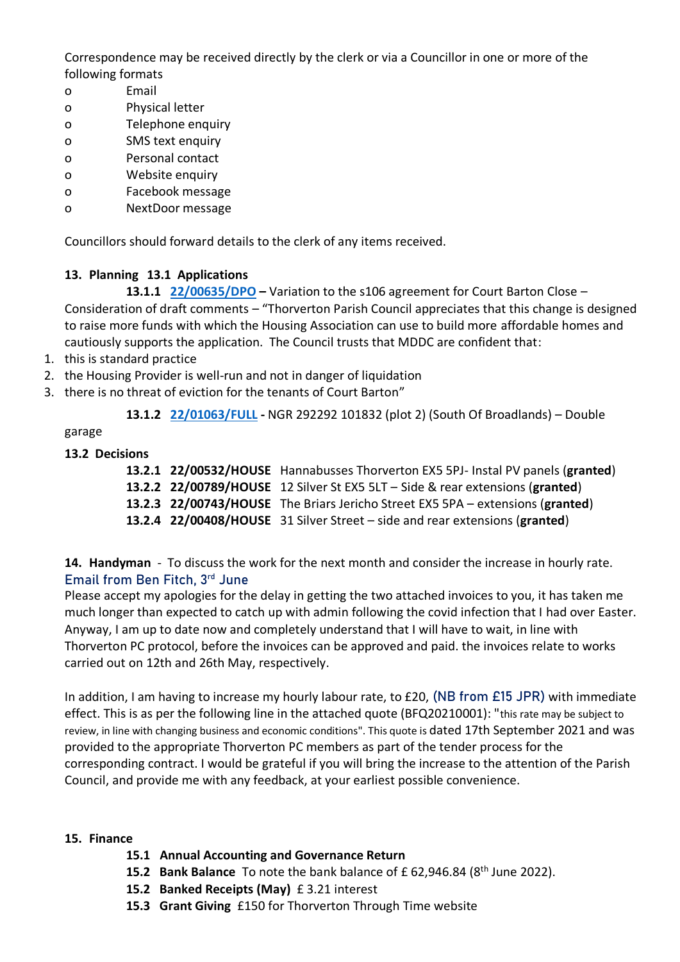Correspondence may be received directly by the clerk or via a Councillor in one or more of the following formats

- o Email
- o Physical letter
- o Telephone enquiry
- o SMS text enquiry
- o Personal contact
- o Website enquiry
- o Facebook message
- o NextDoor message

Councillors should forward details to the clerk of any items received.

### **13. Planning 13.1 Applications**

**13.1.1 [22/00635/DPO](https://planning.middevon.gov.uk/online-applications/applicationDetails.do?activeTab=summary&keyVal=R9LM4LKS07T00) –** Variation to the s106 agreement for Court Barton Close – Consideration of draft comments – "Thorverton Parish Council appreciates that this change is designed to raise more funds with which the Housing Association can use to build more affordable homes and cautiously supports the application. The Council trusts that MDDC are confident that:

- 1. this is standard practice
- 2. the Housing Provider is well-run and not in danger of liquidation
- 3. there is no threat of eviction for the tenants of Court Barton"

**13.1.2 [22/01063/FULL](https://planning.middevon.gov.uk/online-applications/applicationDetails.do?activeTab=summary&keyVal=RCR1KMKS0I100) -** NGR 292292 101832 (plot 2) (South Of Broadlands) – Double

garage

### **13.2 Decisions**

|  | 13.2.1 22/00532/HOUSE Hannabusses Thorverton EX5 5PJ- Instal PV panels (granted) |
|--|----------------------------------------------------------------------------------|
|  | 13.2.2 22/00789/HOUSE 12 Silver St EX5 5LT - Side & rear extensions (granted)    |
|  | 13.2.3 22/00743/HOUSE The Briars Jericho Street EX5 5PA - extensions (granted)   |
|  | 13.2.4 22/00408/HOUSE 31 Silver Street - side and rear extensions (granted)      |

**14. Handyman** - To discuss the work for the next month and consider the increase in hourly rate. Email from Ben Fitch, 3rd June

Please accept my apologies for the delay in getting the two attached invoices to you, it has taken me much longer than expected to catch up with admin following the covid infection that I had over Easter. Anyway, I am up to date now and completely understand that I will have to wait, in line with Thorverton PC protocol, before the invoices can be approved and paid. the invoices relate to works carried out on 12th and 26th May, respectively.

In addition, I am having to increase my hourly labour rate, to £20, (NB from £15 JPR) with immediate effect. This is as per the following line in the attached quote (BFQ20210001): "this rate may be subject to review, in line with changing business and economic conditions". This quote is dated 17th September 2021 and was provided to the appropriate Thorverton PC members as part of the tender process for the corresponding contract. I would be grateful if you will bring the increase to the attention of the Parish Council, and provide me with any feedback, at your earliest possible convenience.

### **15. Finance**

- **15.1 Annual Accounting and Governance Return**
- **15.2 Bank Balance** To note the bank balance of £ 62,946.84 (8th June 2022).
- **15.2 Banked Receipts (May)** £ 3.21 interest
- **15.3 Grant Giving** £150 for Thorverton Through Time website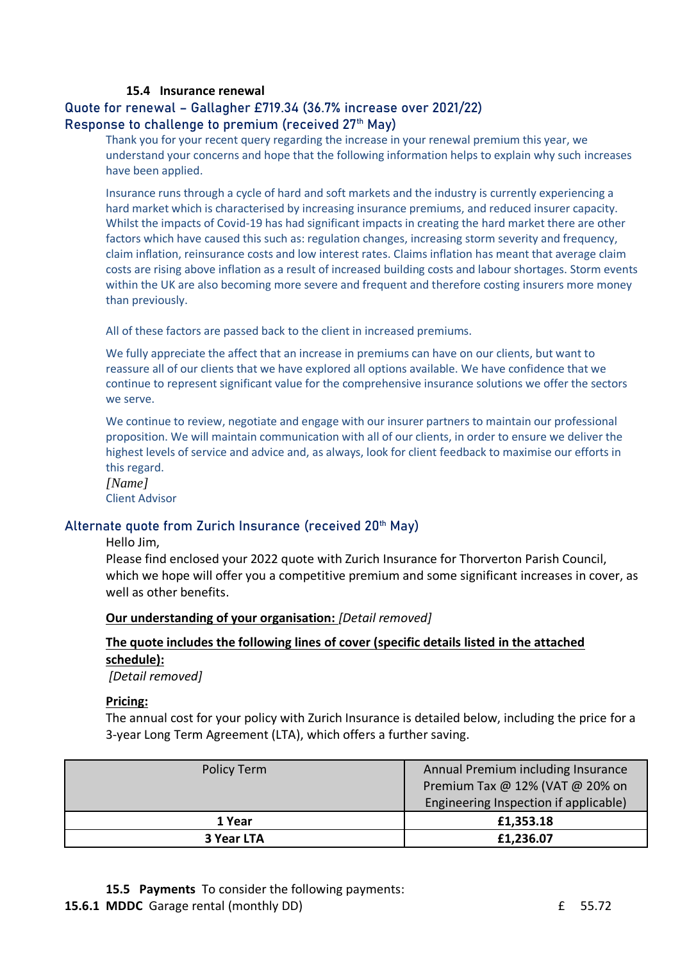#### **15.4 Insurance renewal**

### Quote for renewal – Gallagher £719.34 (36.7% increase over 2021/22) Response to challenge to premium (received 27<sup>th</sup> May)

Thank you for your recent query regarding the increase in your renewal premium this year, we understand your concerns and hope that the following information helps to explain why such increases have been applied.

Insurance runs through a cycle of hard and soft markets and the industry is currently experiencing a hard market which is characterised by increasing insurance premiums, and reduced insurer capacity. Whilst the impacts of Covid-19 has had significant impacts in creating the hard market there are other factors which have caused this such as: regulation changes, increasing storm severity and frequency, claim inflation, reinsurance costs and low interest rates. Claims inflation has meant that average claim costs are rising above inflation as a result of increased building costs and labour shortages. Storm events within the UK are also becoming more severe and frequent and therefore costing insurers more money than previously.

All of these factors are passed back to the client in increased premiums.

We fully appreciate the affect that an increase in premiums can have on our clients, but want to reassure all of our clients that we have explored all options available. We have confidence that we continue to represent significant value for the comprehensive insurance solutions we offer the sectors we serve.

We continue to review, negotiate and engage with our insurer partners to maintain our professional proposition. We will maintain communication with all of our clients, in order to ensure we deliver the highest levels of service and advice and, as always, look for client feedback to maximise our efforts in this regard.

*[Name]* Client Advisor

### Alternate quote from Zurich Insurance (received 20<sup>th</sup> May)

Hello Jim,

Please find enclosed your 2022 quote with Zurich Insurance for Thorverton Parish Council, which we hope will offer you a competitive premium and some significant increases in cover, as well as other benefits.

#### **Our understanding of your organisation:** *[Detail removed]*

## **The quote includes the following lines of cover (specific details listed in the attached schedule):**

*[Detail removed]*

#### **Pricing:**

The annual cost for your policy with Zurich Insurance is detailed below, including the price for a 3-year Long Term Agreement (LTA), which offers a further saving.

| <b>Policy Term</b> | Annual Premium including Insurance<br>Premium Tax @ 12% (VAT @ 20% on<br>Engineering Inspection if applicable) |
|--------------------|----------------------------------------------------------------------------------------------------------------|
| 1 Year             | £1,353.18                                                                                                      |
| 3 Year LTA         | £1,236.07                                                                                                      |

**15.5 Payments** To consider the following payments: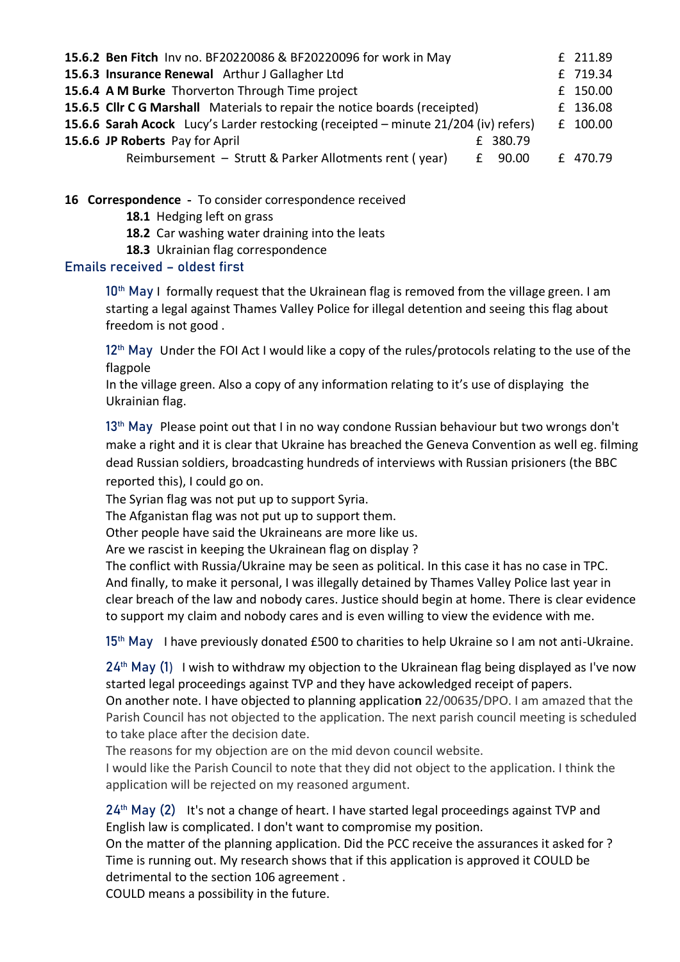| 15.6.2 Ben Fitch Inv no. BF20220086 & BF20220096 for work in May                    |  |          |
|-------------------------------------------------------------------------------------|--|----------|
| 15.6.3 Insurance Renewal Arthur J Gallagher Ltd                                     |  |          |
| 15.6.4 A M Burke Thorverton Through Time project                                    |  |          |
| 15.6.5 Cllr C G Marshall Materials to repair the notice boards (receipted)          |  |          |
| 15.6.6 Sarah Acock Lucy's Larder restocking (receipted - minute 21/204 (iv) refers) |  |          |
| 15.6.6 JP Roberts Pay for April<br>£ 380.79                                         |  |          |
| Reimbursement - Strutt & Parker Allotments rent (year)<br>$E$ 90.00                 |  | £ 470.79 |

**16 Correspondence** - To consider correspondence received

**18.1** Hedging left on grass

**18.2** Car washing water draining into the leats

**18.3** Ukrainian flag correspondence

#### Emails received – oldest first

10<sup>th</sup> May I formally request that the Ukrainean flag is removed from the village green. I am starting a legal against Thames Valley Police for illegal detention and seeing this flag about freedom is not good .

12<sup>th</sup> May Under the FOI Act I would like a copy of the rules/protocols relating to the use of the flagpole

In the village green. Also a copy of any information relating to it's use of displaying the Ukrainian flag.

13<sup>th</sup> May Please point out that I in no way condone Russian behaviour but two wrongs don't make a right and it is clear that Ukraine has breached the Geneva Convention as well eg. filming dead Russian soldiers, broadcasting hundreds of interviews with Russian prisioners (the BBC reported this), I could go on.

The Syrian flag was not put up to support Syria.

The Afganistan flag was not put up to support them.

Other people have said the Ukraineans are more like us.

Are we rascist in keeping the Ukrainean flag on display ?

The conflict with Russia/Ukraine may be seen as political. In this case it has no case in TPC. And finally, to make it personal, I was illegally detained by Thames Valley Police last year in clear breach of the law and nobody cares. Justice should begin at home. There is clear evidence to support my claim and nobody cares and is even willing to view the evidence with me.

15<sup>th</sup> May I have previously donated £500 to charities to help Ukraine so I am not anti-Ukraine.

24<sup>th</sup> May (1) I wish to withdraw my objection to the Ukrainean flag being displayed as I've now started legal proceedings against TVP and they have ackowledged receipt of papers. On another note. I have objected to planning applicatio**n** 22/00635/DPO. I am amazed that the Parish Council has not objected to the application. The next parish council meeting is scheduled

to take place after the decision date.

The reasons for my objection are on the mid devon council website.

I would like the Parish Council to note that they did not object to the application. I think the application will be rejected on my reasoned argument.

 $24<sup>th</sup>$  May (2) It's not a change of heart. I have started legal proceedings against TVP and English law is complicated. I don't want to compromise my position.

On the matter of the planning application. Did the PCC receive the assurances it asked for ? Time is running out. My research shows that if this application is approved it COULD be detrimental to the section 106 agreement .

COULD means a possibility in the future.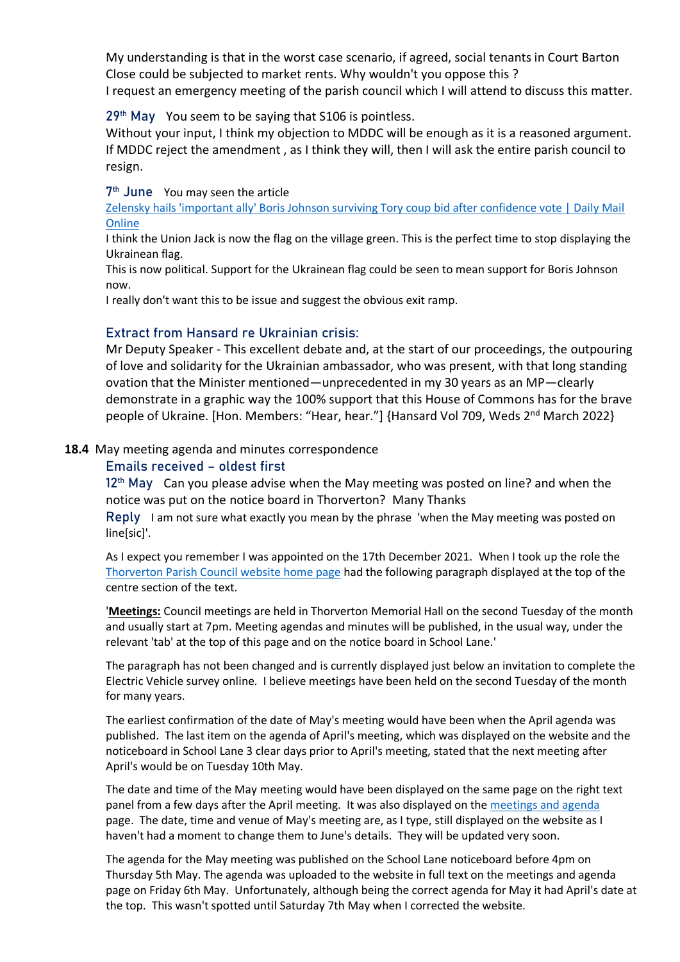My understanding is that in the worst case scenario, if agreed, social tenants in Court Barton Close could be subjected to market rents. Why wouldn't you oppose this ? I request an emergency meeting of the parish council which I will attend to discuss this matter.

### 29<sup>th</sup> May You seem to be saying that S106 is pointless.

Without your input, I think my objection to MDDC will be enough as it is a reasoned argument. If MDDC reject the amendment , as I think they will, then I will ask the entire parish council to resign.

7<sup>th</sup> June You may seen the article

[Zelensky hails 'important ally' Boris Johnson surviving Tory coup bid after confidence vote | Daily Mail](https://www.dailymail.co.uk/news/article-10892643/Zelensky-hails-important-ally-Boris-surviving-Tory-coup-bid.html)  **[Online](https://www.dailymail.co.uk/news/article-10892643/Zelensky-hails-important-ally-Boris-surviving-Tory-coup-bid.html)** 

I think the Union Jack is now the flag on the village green. This is the perfect time to stop displaying the Ukrainean flag.

This is now political. Support for the Ukrainean flag could be seen to mean support for Boris Johnson now.

I really don't want this to be issue and suggest the obvious exit ramp.

#### Extract from Hansard re Ukrainian crisis:

Mr Deputy Speaker - This excellent debate and, at the start of our proceedings, the outpouring of love and solidarity for the Ukrainian ambassador, who was present, with that long standing ovation that the Minister mentioned—unprecedented in my 30 years as an MP—clearly demonstrate in a graphic way the 100% support that this House of Commons has for the brave people of Ukraine. [Hon. Members: "Hear, hear."] {Hansard Vol 709, Weds 2<sup>nd</sup> March 2022}

#### **18.4** May meeting agenda and minutes correspondence

#### Emails received – oldest first

 $12<sup>th</sup>$  May Can you please advise when the May meeting was posted on line? and when the notice was put on the notice board in Thorverton? Many Thanks

Reply I am not sure what exactly you mean by the phrase 'when the May meeting was posted on line[sic]'.

As I expect you remember I was appointed on the 17th December 2021. When I took up the role the [Thorverton Parish Council website home page](http://www.thorvertonparishcouncil.org.uk/Home_1465.aspx) had the following paragraph displayed at the top of the centre section of the text.

'**Meetings:** Council meetings are held in Thorverton Memorial Hall on the second Tuesday of the month and usually start at 7pm. Meeting agendas and minutes will be published, in the usual way, under the relevant 'tab' at the top of this page and on the notice board in School Lane.'

The paragraph has not been changed and is currently displayed just below an invitation to complete the Electric Vehicle survey online. I believe meetings have been held on the second Tuesday of the month for many years.

The earliest confirmation of the date of May's meeting would have been when the April agenda was published. The last item on the agenda of April's meeting, which was displayed on the website and the noticeboard in School Lane 3 clear days prior to April's meeting, stated that the next meeting after April's would be on Tuesday 10th May.

The date and time of the May meeting would have been displayed on the same page on the right text panel from a few days after the April meeting. It was also displayed on the meetings and agenda page. The date, time and venue of May's meeting are, as I type, still displayed on the website as I haven't had a moment to change them to June's details. They will be updated very soon.

The agenda for the May meeting was published on the School Lane noticeboard before 4pm on Thursday 5th May. The agenda was uploaded to the website in full text on the meetings and agenda page on Friday 6th May. Unfortunately, although being the correct agenda for May it had April's date at the top. This wasn't spotted until Saturday 7th May when I corrected the website.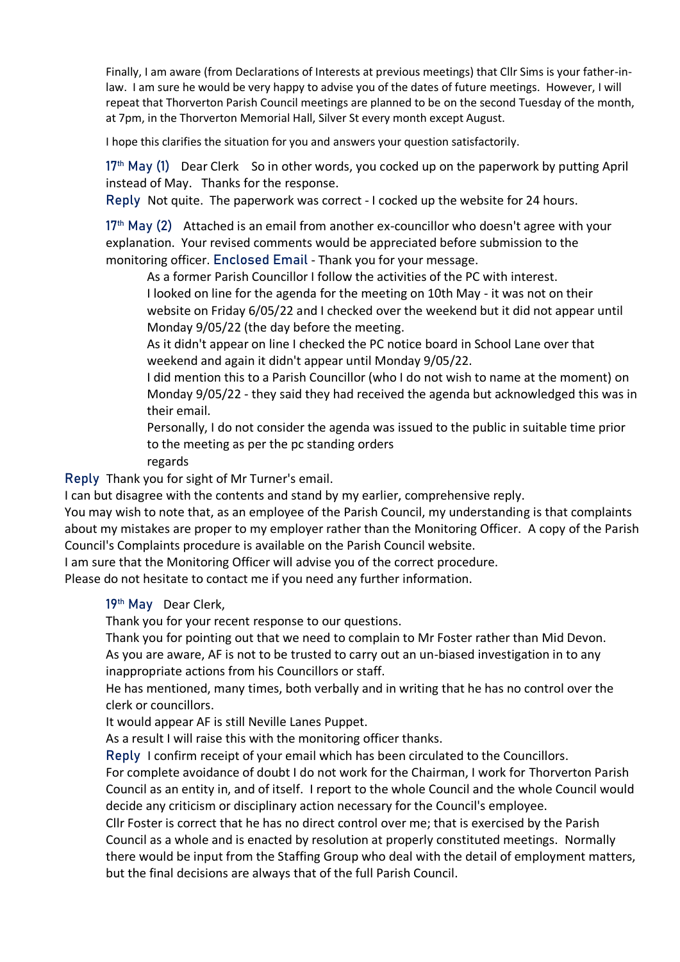Finally, I am aware (from Declarations of Interests at previous meetings) that Cllr Sims is your father-inlaw. I am sure he would be very happy to advise you of the dates of future meetings. However, I will repeat that Thorverton Parish Council meetings are planned to be on the second Tuesday of the month, at 7pm, in the Thorverton Memorial Hall, Silver St every month except August.

I hope this clarifies the situation for you and answers your question satisfactorily.

 $17<sup>th</sup>$  May (1) Dear Clerk So in other words, you cocked up on the paperwork by putting April instead of May. Thanks for the response.

Reply Not quite. The paperwork was correct - I cocked up the website for 24 hours.

 $17<sup>th</sup>$  May (2) Attached is an email from another ex-councillor who doesn't agree with your explanation. Your revised comments would be appreciated before submission to the monitoring officer. Enclosed Email - Thank you for your message.

As a former Parish Councillor I follow the activities of the PC with interest.

I looked on line for the agenda for the meeting on 10th May - it was not on their website on Friday 6/05/22 and I checked over the weekend but it did not appear until Monday 9/05/22 (the day before the meeting.

As it didn't appear on line I checked the PC notice board in School Lane over that weekend and again it didn't appear until Monday 9/05/22.

I did mention this to a Parish Councillor (who I do not wish to name at the moment) on Monday 9/05/22 - they said they had received the agenda but acknowledged this was in their email.

Personally, I do not consider the agenda was issued to the public in suitable time prior to the meeting as per the pc standing orders

regards

Reply Thank you for sight of Mr Turner's email.

I can but disagree with the contents and stand by my earlier, comprehensive reply.

You may wish to note that, as an employee of the Parish Council, my understanding is that complaints about my mistakes are proper to my employer rather than the Monitoring Officer. A copy of the Parish Council's Complaints procedure is available on the Parish Council website.

I am sure that the Monitoring Officer will advise you of the correct procedure.

Please do not hesitate to contact me if you need any further information.

19<sup>th</sup> May Dear Clerk,

Thank you for your recent response to our questions.

Thank you for pointing out that we need to complain to Mr Foster rather than Mid Devon. As you are aware, AF is not to be trusted to carry out an un-biased investigation in to any

inappropriate actions from his Councillors or staff.

He has mentioned, many times, both verbally and in writing that he has no control over the clerk or councillors.

It would appear AF is still Neville Lanes Puppet.

As a result I will raise this with the monitoring officer thanks.

Reply I confirm receipt of your email which has been circulated to the Councillors.

For complete avoidance of doubt I do not work for the Chairman, I work for Thorverton Parish Council as an entity in, and of itself. I report to the whole Council and the whole Council would decide any criticism or disciplinary action necessary for the Council's employee.

Cllr Foster is correct that he has no direct control over me; that is exercised by the Parish Council as a whole and is enacted by resolution at properly constituted meetings. Normally there would be input from the Staffing Group who deal with the detail of employment matters, but the final decisions are always that of the full Parish Council.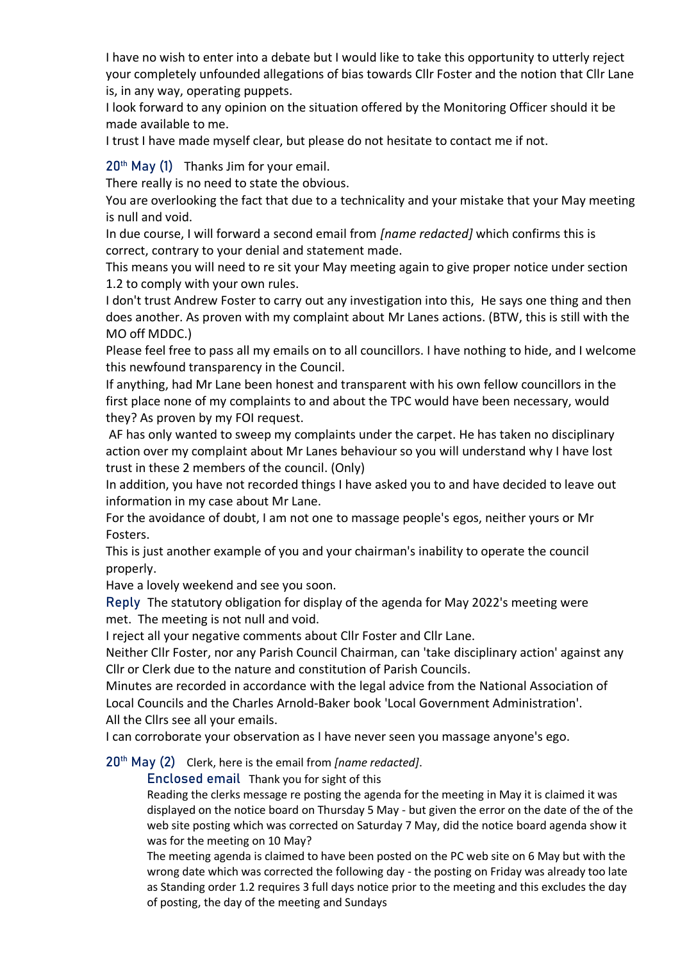I have no wish to enter into a debate but I would like to take this opportunity to utterly reject your completely unfounded allegations of bias towards Cllr Foster and the notion that Cllr Lane is, in any way, operating puppets.

I look forward to any opinion on the situation offered by the Monitoring Officer should it be made available to me.

I trust I have made myself clear, but please do not hesitate to contact me if not.

 $20<sup>th</sup>$  May (1) Thanks Jim for your email.

There really is no need to state the obvious.

You are overlooking the fact that due to a technicality and your mistake that your May meeting is null and void.

In due course, I will forward a second email from *[name redacted]* which confirms this is correct, contrary to your denial and statement made.

This means you will need to re sit your May meeting again to give proper notice under section 1.2 to comply with your own rules.

I don't trust Andrew Foster to carry out any investigation into this, He says one thing and then does another. As proven with my complaint about Mr Lanes actions. (BTW, this is still with the MO off MDDC.)

Please feel free to pass all my emails on to all councillors. I have nothing to hide, and I welcome this newfound transparency in the Council.

If anything, had Mr Lane been honest and transparent with his own fellow councillors in the first place none of my complaints to and about the TPC would have been necessary, would they? As proven by my FOI request.

AF has only wanted to sweep my complaints under the carpet. He has taken no disciplinary action over my complaint about Mr Lanes behaviour so you will understand why I have lost trust in these 2 members of the council. (Only)

In addition, you have not recorded things I have asked you to and have decided to leave out information in my case about Mr Lane.

For the avoidance of doubt, I am not one to massage people's egos, neither yours or Mr Fosters.

This is just another example of you and your chairman's inability to operate the council properly.

Have a lovely weekend and see you soon.

Reply The statutory obligation for display of the agenda for May 2022's meeting were met. The meeting is not null and void.

I reject all your negative comments about Cllr Foster and Cllr Lane.

Neither Cllr Foster, nor any Parish Council Chairman, can 'take disciplinary action' against any Cllr or Clerk due to the nature and constitution of Parish Councils.

Minutes are recorded in accordance with the legal advice from the National Association of Local Councils and the Charles Arnold-Baker book 'Local Government Administration'. All the Cllrs see all your emails.

I can corroborate your observation as I have never seen you massage anyone's ego.

20th May (2) Clerk, here is the email from *[name redacted]*.

Enclosed email Thank you for sight of this

Reading the clerks message re posting the agenda for the meeting in May it is claimed it was displayed on the notice board on Thursday 5 May - but given the error on the date of the of the web site posting which was corrected on Saturday 7 May, did the notice board agenda show it was for the meeting on 10 May?

The meeting agenda is claimed to have been posted on the PC web site on 6 May but with the wrong date which was corrected the following day - the posting on Friday was already too late as Standing order 1.2 requires 3 full days notice prior to the meeting and this excludes the day of posting, the day of the meeting and Sundays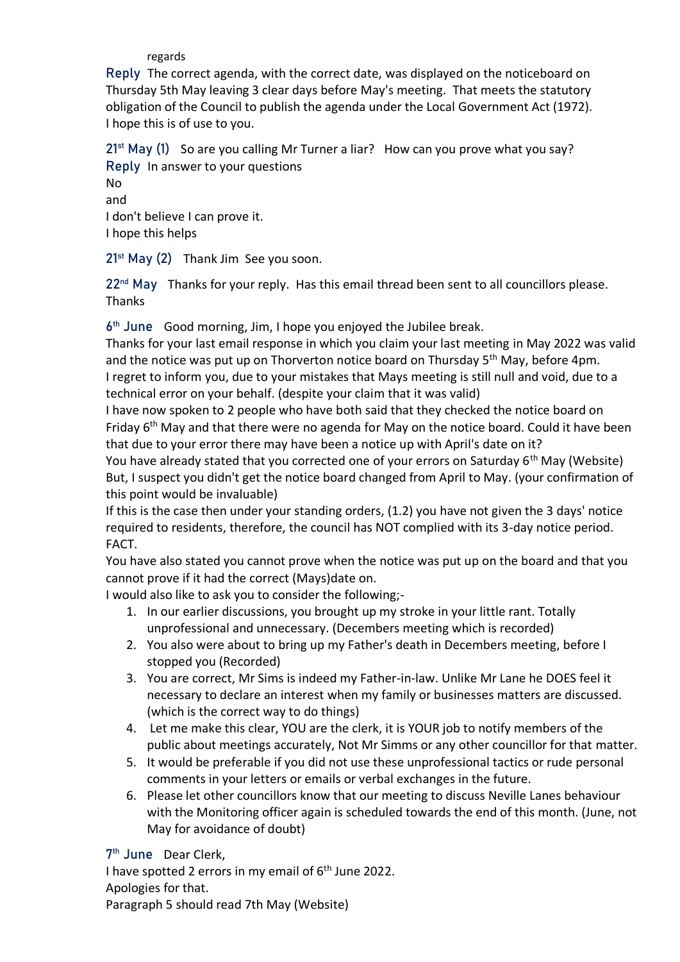regards

Reply The correct agenda, with the correct date, was displayed on the noticeboard on Thursday 5th May leaving 3 clear days before May's meeting. That meets the statutory obligation of the Council to publish the agenda under the Local Government Act (1972). I hope this is of use to you.

 $21^{st}$  May (1) So are you calling Mr Turner a liar? How can you prove what you say? Reply In answer to your questions

No and I don't believe I can prove it. I hope this helps

21<sup>st</sup> May (2) Thank Jim See you soon.

22<sup>nd</sup> May Thanks for your reply. Has this email thread been sent to all councillors please. Thanks

6 th June Good morning, Jim, I hope you enjoyed the Jubilee break.

Thanks for your last email response in which you claim your last meeting in May 2022 was valid and the notice was put up on Thorverton notice board on Thursday 5<sup>th</sup> May, before 4pm. I regret to inform you, due to your mistakes that Mays meeting is still null and void, due to a technical error on your behalf. (despite your claim that it was valid)

I have now spoken to 2 people who have both said that they checked the notice board on Friday 6<sup>th</sup> May and that there were no agenda for May on the notice board. Could it have been that due to your error there may have been a notice up with April's date on it?

You have already stated that you corrected one of your errors on Saturday 6<sup>th</sup> May (Website) But, I suspect you didn't get the notice board changed from April to May. (your confirmation of this point would be invaluable)

If this is the case then under your standing orders, (1.2) you have not given the 3 days' notice required to residents, therefore, the council has NOT complied with its 3-day notice period. FACT.

You have also stated you cannot prove when the notice was put up on the board and that you cannot prove if it had the correct (Mays)date on.

I would also like to ask you to consider the following;-

- 1. In our earlier discussions, you brought up my stroke in your little rant. Totally unprofessional and unnecessary. (Decembers meeting which is recorded)
- 2. You also were about to bring up my Father's death in Decembers meeting, before I stopped you (Recorded)
- 3. You are correct, Mr Sims is indeed my Father-in-law. Unlike Mr Lane he DOES feel it necessary to declare an interest when my family or businesses matters are discussed. (which is the correct way to do things)
- 4. Let me make this clear, YOU are the clerk, it is YOUR job to notify members of the public about meetings accurately, Not Mr Simms or any other councillor for that matter.
- 5. It would be preferable if you did not use these unprofessional tactics or rude personal comments in your letters or emails or verbal exchanges in the future.
- 6. Please let other councillors know that our meeting to discuss Neville Lanes behaviour with the Monitoring officer again is scheduled towards the end of this month. (June, not May for avoidance of doubt)

7<sup>th</sup> June Dear Clerk,

I have spotted 2 errors in my email of  $6<sup>th</sup>$  June 2022. Apologies for that. Paragraph 5 should read 7th May (Website)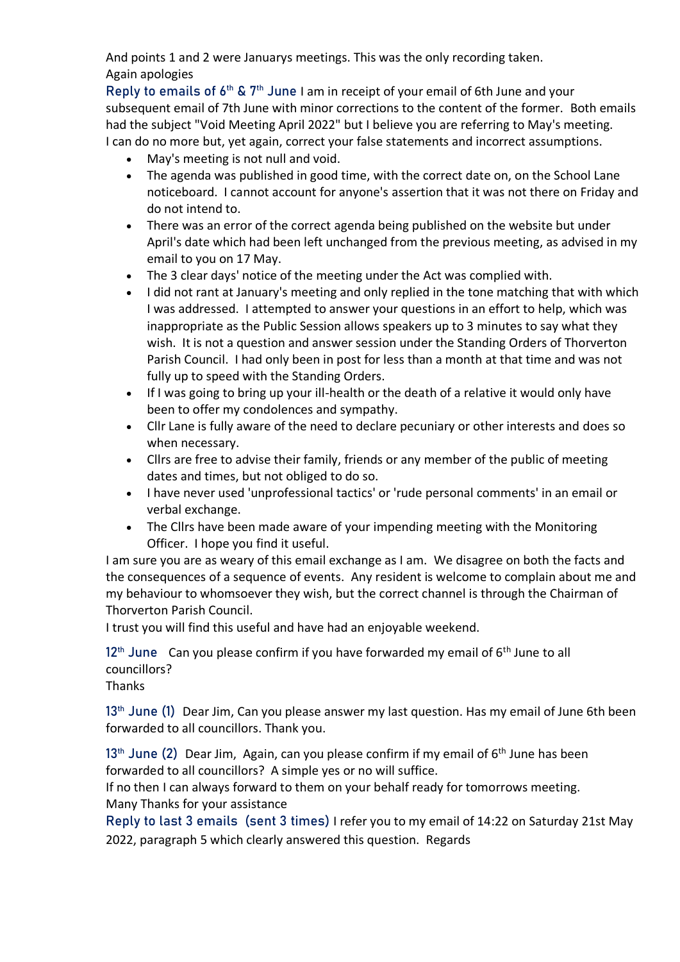And points 1 and 2 were Januarys meetings. This was the only recording taken. Again apologies

Reply to emails of  $6<sup>th</sup>$  &  $7<sup>th</sup>$  June I am in receipt of your email of 6th June and your subsequent email of 7th June with minor corrections to the content of the former. Both emails had the subject "Void Meeting April 2022" but I believe you are referring to May's meeting. I can do no more but, yet again, correct your false statements and incorrect assumptions.

- May's meeting is not null and void.
- The agenda was published in good time, with the correct date on, on the School Lane noticeboard. I cannot account for anyone's assertion that it was not there on Friday and do not intend to.
- There was an error of the correct agenda being published on the website but under April's date which had been left unchanged from the previous meeting, as advised in my email to you on 17 May.
- The 3 clear days' notice of the meeting under the Act was complied with.
- I did not rant at January's meeting and only replied in the tone matching that with which I was addressed. I attempted to answer your questions in an effort to help, which was inappropriate as the Public Session allows speakers up to 3 minutes to say what they wish. It is not a question and answer session under the Standing Orders of Thorverton Parish Council. I had only been in post for less than a month at that time and was not fully up to speed with the Standing Orders.
- If I was going to bring up your ill-health or the death of a relative it would only have been to offer my condolences and sympathy.
- Cllr Lane is fully aware of the need to declare pecuniary or other interests and does so when necessary.
- Cllrs are free to advise their family, friends or any member of the public of meeting dates and times, but not obliged to do so.
- I have never used 'unprofessional tactics' or 'rude personal comments' in an email or verbal exchange.
- The Cllrs have been made aware of your impending meeting with the Monitoring Officer. I hope you find it useful.

I am sure you are as weary of this email exchange as I am. We disagree on both the facts and the consequences of a sequence of events. Any resident is welcome to complain about me and my behaviour to whomsoever they wish, but the correct channel is through the Chairman of Thorverton Parish Council.

I trust you will find this useful and have had an enjoyable weekend.

 $12<sup>th</sup>$  June Can you please confirm if you have forwarded my email of  $6<sup>th</sup>$  June to all councillors?

Thanks

13<sup>th</sup> June (1) Dear Jim, Can you please answer my last question. Has my email of June 6th been forwarded to all councillors. Thank you.

13<sup>th</sup> June (2) Dear Jim, Again, can you please confirm if my email of 6<sup>th</sup> June has been forwarded to all councillors? A simple yes or no will suffice.

If no then I can always forward to them on your behalf ready for tomorrows meeting. Many Thanks for your assistance

Reply to last 3 emails (sent 3 times) I refer you to my email of 14:22 on Saturday 21st May 2022, paragraph 5 which clearly answered this question. Regards